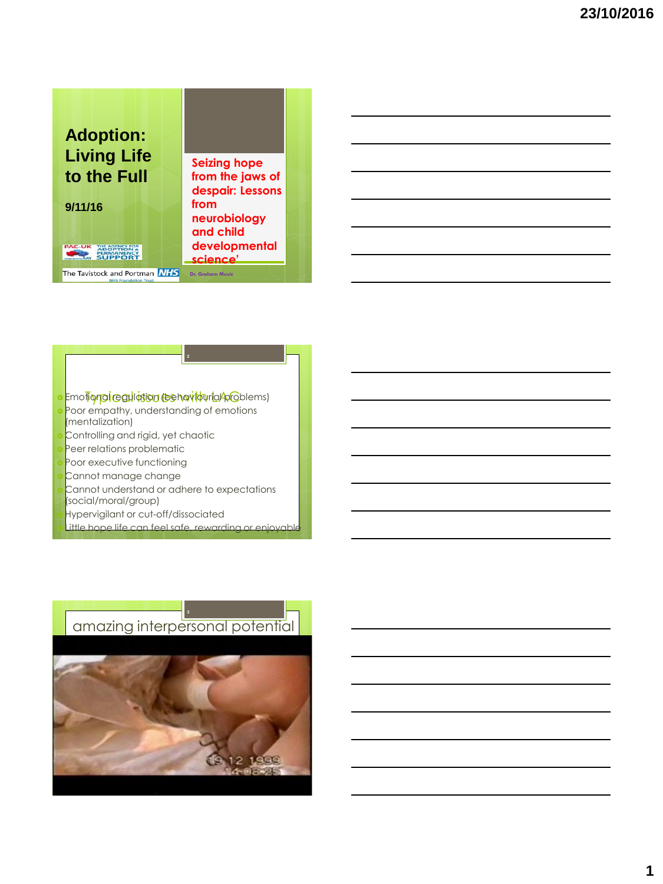

#### o Emotional ceal lation (behavitourla/problems)

- Poor empathy, understanding of emotions (mentalization)
- Controlling and rigid, yet chaotic
- Peer relations problematic
- Poor executive functioning
- Cannot manage change
- Cannot understand or adhere to expectations
- (social/moral/group)
- Hypervigilant or cut-off/dissociated
- Little hope life can feel safe, rewarding or

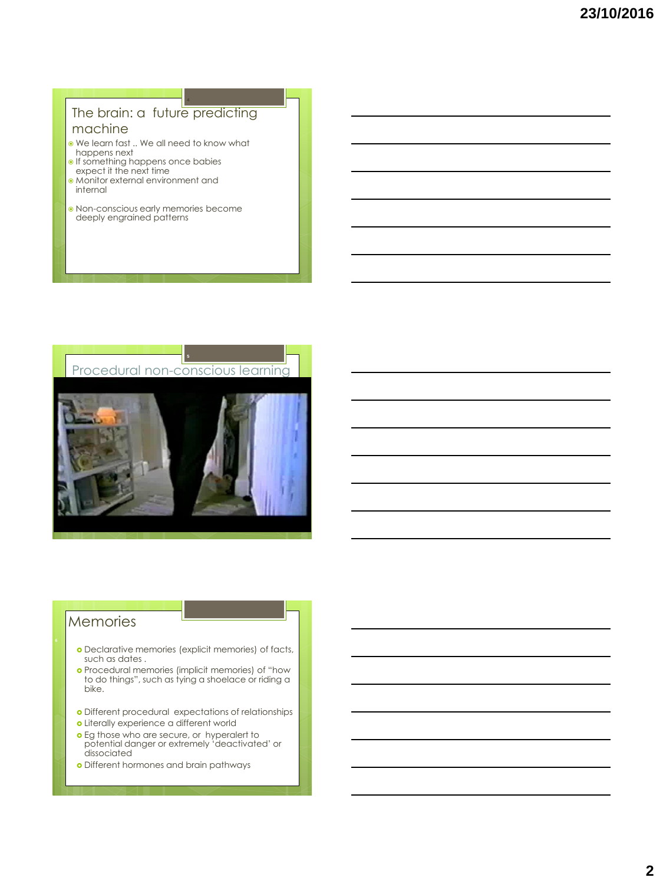## The brain: a future predicting machine

- We learn fast .. We all need to know what happens next
- **If something happens once babies** expect it the next time
- Monitor external environment and
- internal
- Non-conscious early memories become deeply engrained patterns



## Memories

- Declarative memories (explicit memories) of facts, such as dates .
- Procedural memories (implicit memories) of "how to do things", such as tying a shoelace or riding a bike.
- Different procedural expectations of relationships
- Literally experience a different world
- Eg those who are secure, or hyperalert to potential danger or extremely 'deactivated' or dissociated
- o Different hormones and brain pathways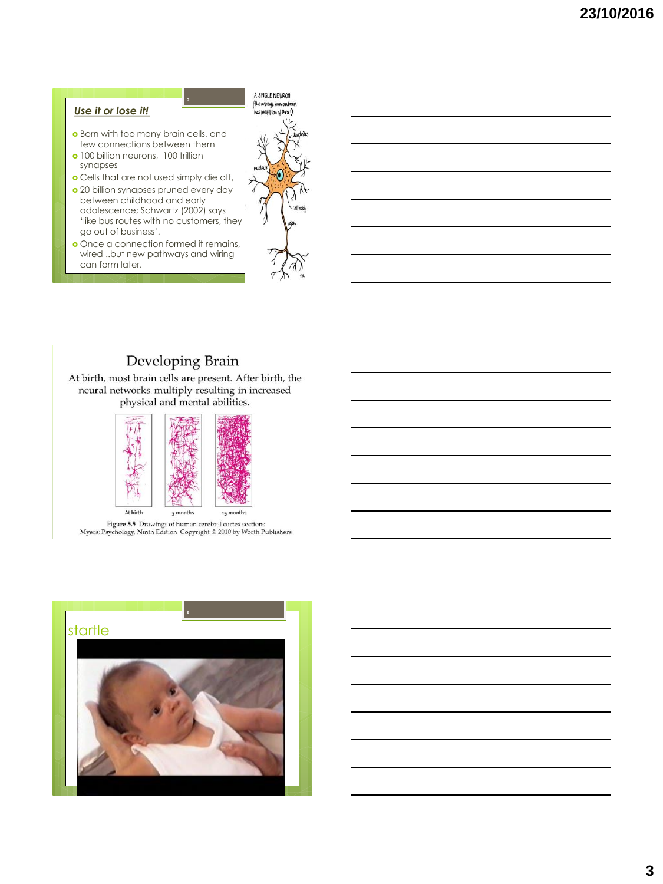#### *Use it or lose it!*

**o** Born with too many brain cells, and few connections between them

**7**

- o 100 billion neurons, 100 trillion synapses
- Cells that are not used simply die off,
- 20 billion synapses pruned every day between childhood and early adolescence; Schwartz (2002) says 'like bus routes with no customers, they go out of business'.
- o Once a connection formed it remains, wired ..but new pathways and wiring can form later.



## **Developing Brain**

At birth, most brain cells are present. After birth, the neural networks multiply resulting in increased physical and mental abilities.



Figure 5.5 Drawings of human cerebral cortex sections Myers: Psychology, Ninth Edition Copyright © 2010 by Worth Publishers

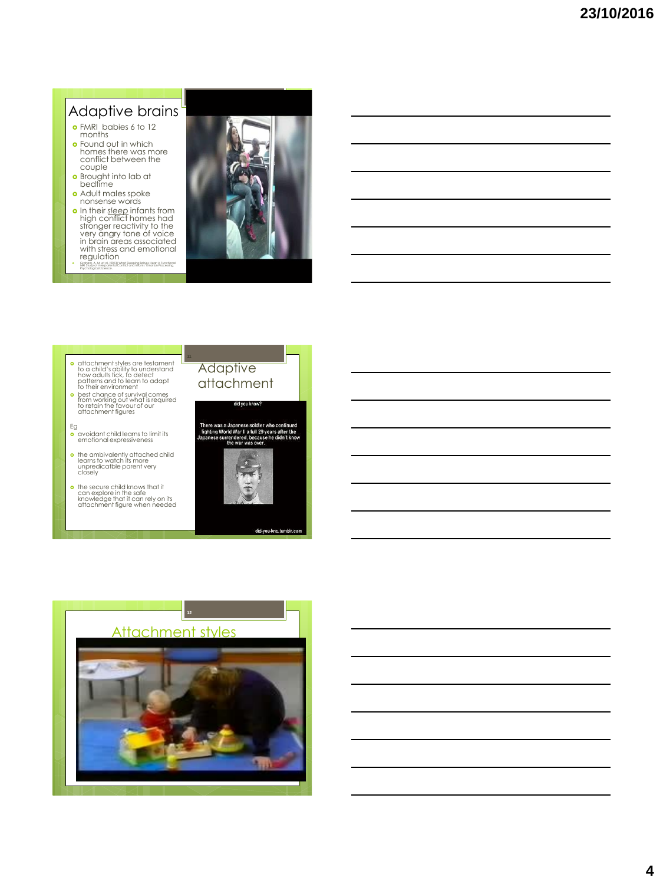# Adaptive brains

- FMRI babies 6 to 12 months
- Found out in which homes there was more conflict between the couple
- Brought into lab at bedtime
- Adult males spoke
- **o** In their <u>sleep</u> infants from<br>high conflict homes had<br>stronger reactivity to the<br>very angry tone of voice<br>in brain areas associated With stress and emotional<br>
regulation<br>
Clanom, A. M. et al. (2013) What Sleeping Babies Hear: A Functional
- MRI Study of Interparental Conflict and Infants' Emotion Processing. *Psychological Science*.



- **a** attachment styles are testament to a child's ability to understand<br>how adults tick, to detect<br>patterns and to learn to adapt<br>to their environment<br>observionent of the child<br>observing out what is required<br>for retain the favour of our<br>aftachment figures
- 
- Eg avoidant child learns to limit its emotional expressiveness
- the ambivalently attached child learns to watch its more unpredicatble parent very closely
- **o** the secure child knows that it can explore in the safe knowledge that it can rely on its attachment figure when needed



did-you-kno.tumblr.cor

did you know?

**Adaptive** attachment

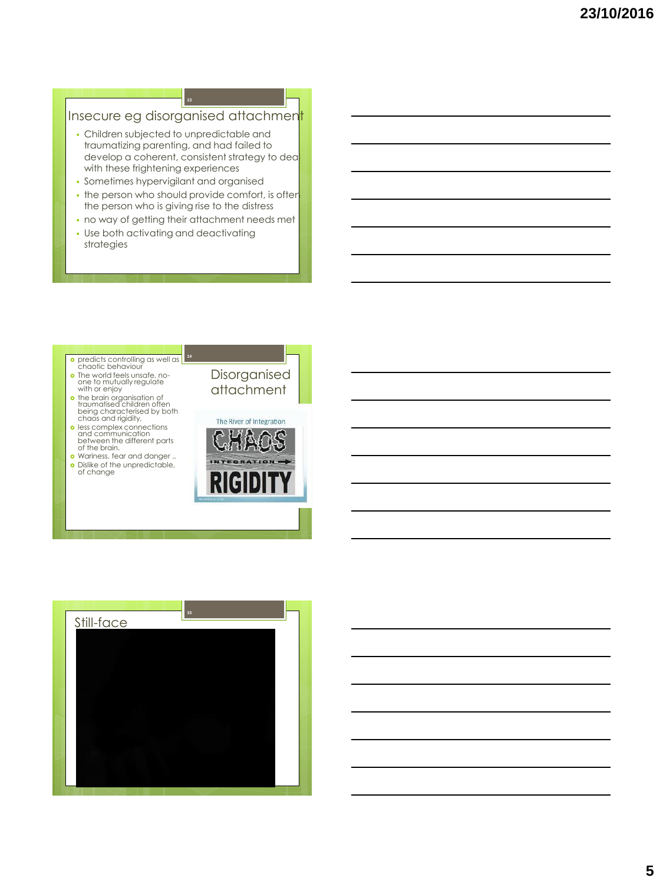### Insecure eg disorganised attachmen **13**

- Children subjected to unpredictable and traumatizing parenting, and had failed to develop a coherent, consistent strategy to deal with these frightening experiences
- Sometimes hypervigilant and organised
- the person who should provide comfort, is ofter the person who is giving rise to the distress
- no way of getting their attachment needs met Use both activating and deactivating
- strategies



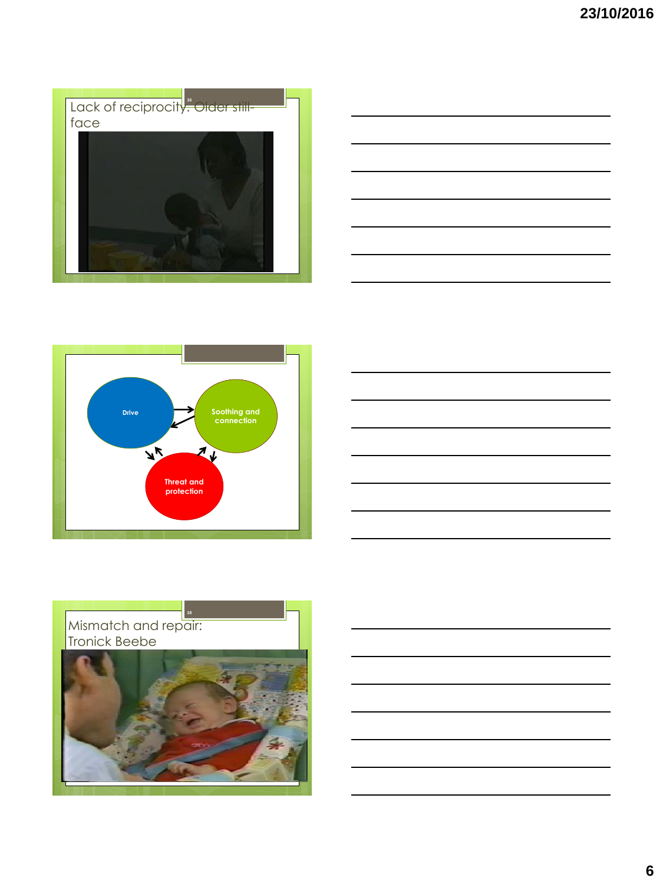







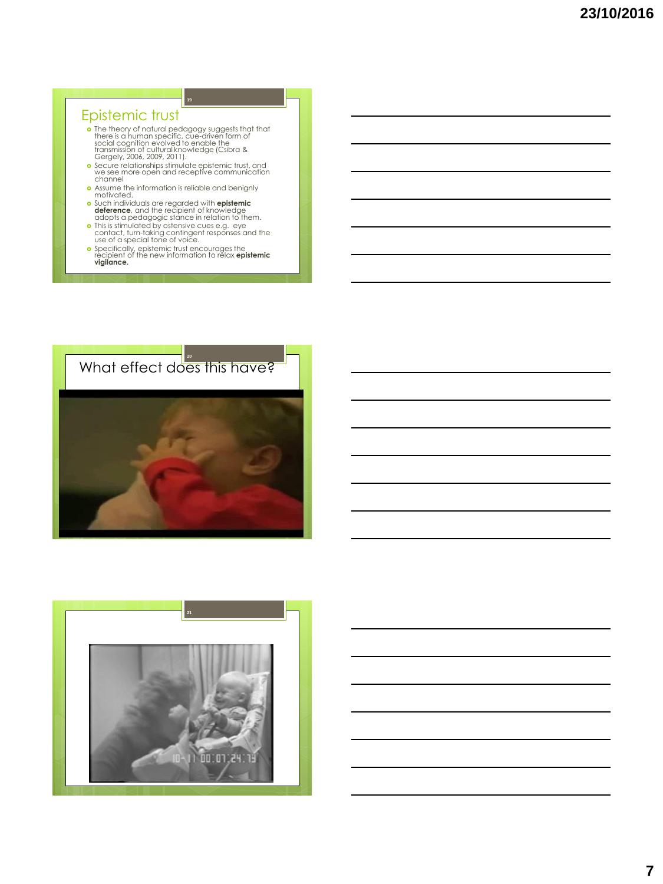# Epistemic trust

• The theory of natural pedagogy suggests that that<br>there is a numan specific, cue-diriven form of<br>social cognition evolved to enable the<br>transmission of cultural knowledge (Csibra &<br>Cergely, 2006, 2009, 2011).<br>• Secure re

**19**

- 
- Assume the information is reliable and benignly motivated.
- 
- **o** Such individuals are regarded with **epistemic**<br> **detence**, and the recipient of knowledge<br>
dopts a pedagogic stance in relation to them.<br> **o** This is stimulated by ostensive cues e.g. eye<br>
contact, turn-taking continge
- 



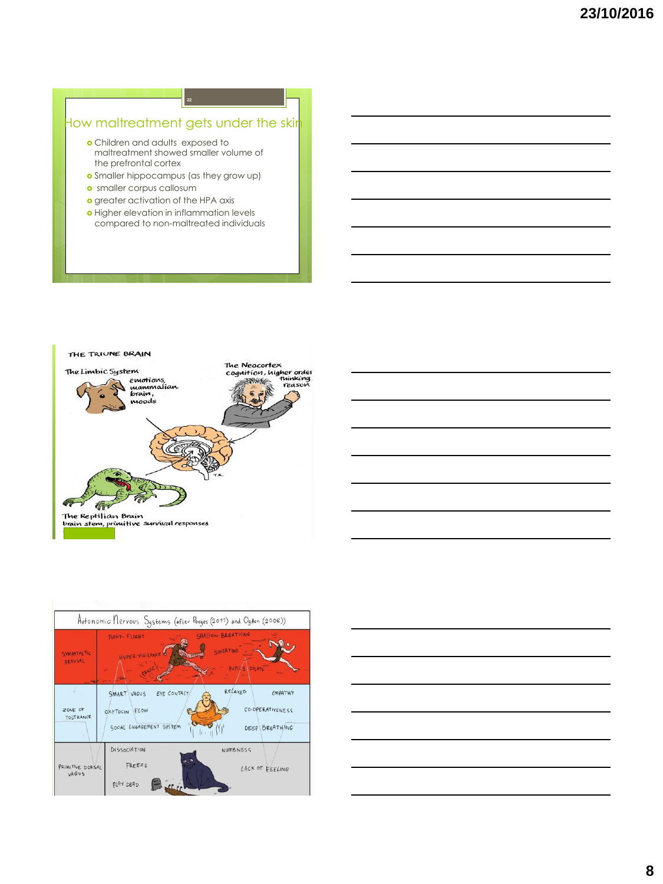## How maltreatment gets under the skir

- Children and adults exposed to maltreatment showed smaller volume of the prefrontal cortex
- **o** Smaller hippocampus (as they grow up)
- **o** smaller corpus callosum
- **o** greater activation of the HPA axis
- **o** Higher elevation in inflammation levels compared to non-maltreated individuals







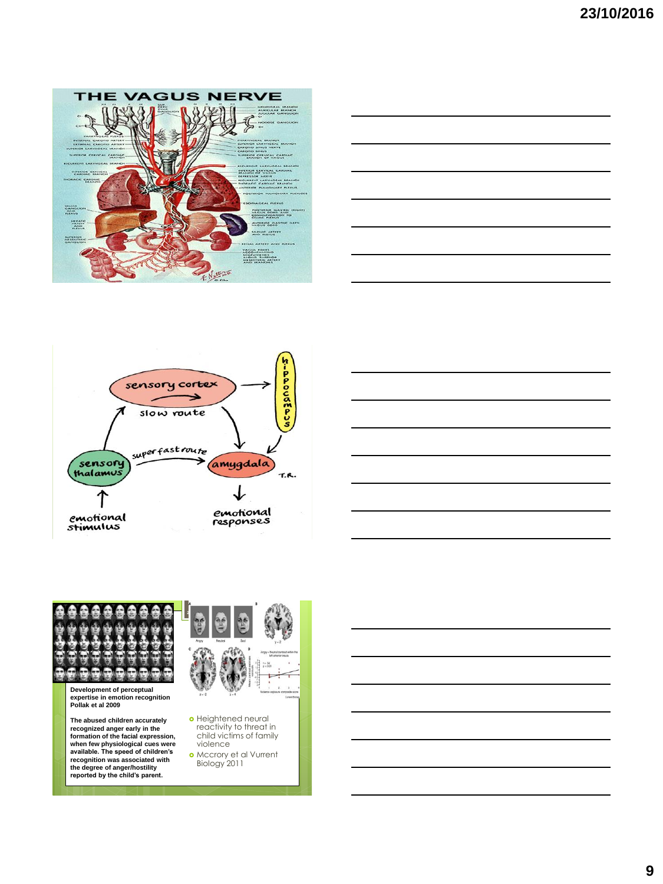









**The abused children accurately recognized anger early in the formation of the facial expression, when few physiological cues were available. The speed of children's recognition was associated with the degree of anger/hostility reported by the child's parent.**



- Heightened neural reactivity to threat in child victims of family violence
- Mccrory et al Vurrent Biology 2011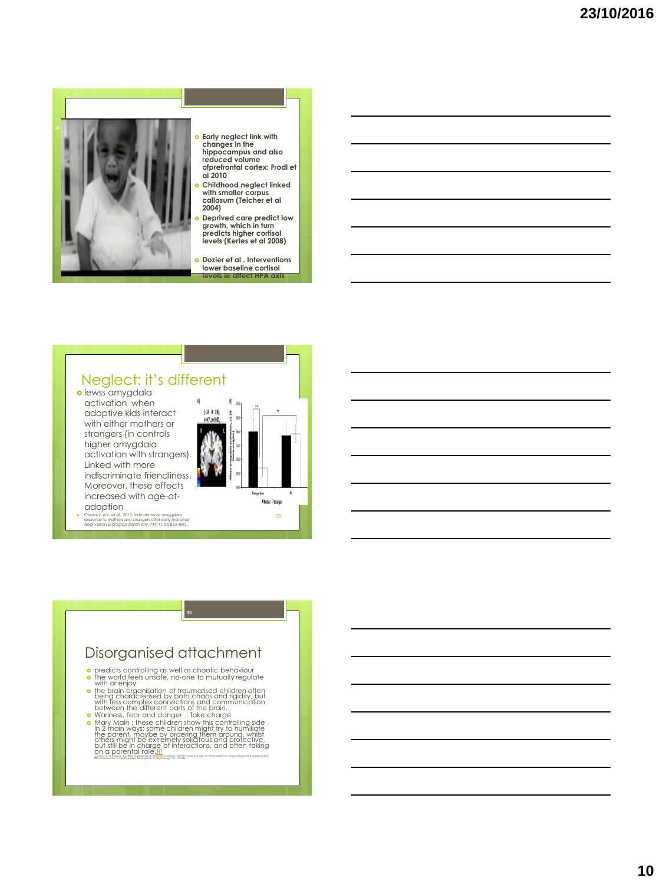

- **Early neglect link with changes in the hippocampus and also reduced volume ofprefrontal cortex: Frodl et**
- **Childhood neglect linked with smaller corpus callosum (Teicher et al**
- **Deprived care predict low growth, which in turn predicts higher cortisol levels (Kertes et al 2008)**
- **Dozier et al . Interventions lower baseline cortisol**

#### Neglect: it's different **o** lewss amygdala activation when adoptive kids interact 60-4-48 with either mothers or strangers (in controls higher amygdala activation with strangers). Linked with more indiscriminate friendliness. Moreover, these effects increased with age-at-**Hote** Opaqe adoption Olsavsky, A.K. et al., 2013. Indiscriminate amygdala response to mothers and strangers after early maternal deprivation. *Biological psychiatry*, 74(11), pp.853–860. **29**

# Disorganised attachment

- o predicts controlling as well as chaotic behaviour<br>• The world feels unsafe, no-one to mutually regulate<br>with or enjoy
- the brain organisation of traumatised children often being characterised by both chaos and rigidity, but with less complex connections and communication between the different parts of the brain.
- **o** Mariness, fear and danger . Take charge is a controlling side in 2 main ways: some children might for to buy in the parent means of the parent means of the parent means of the parent of the small of the small of the sm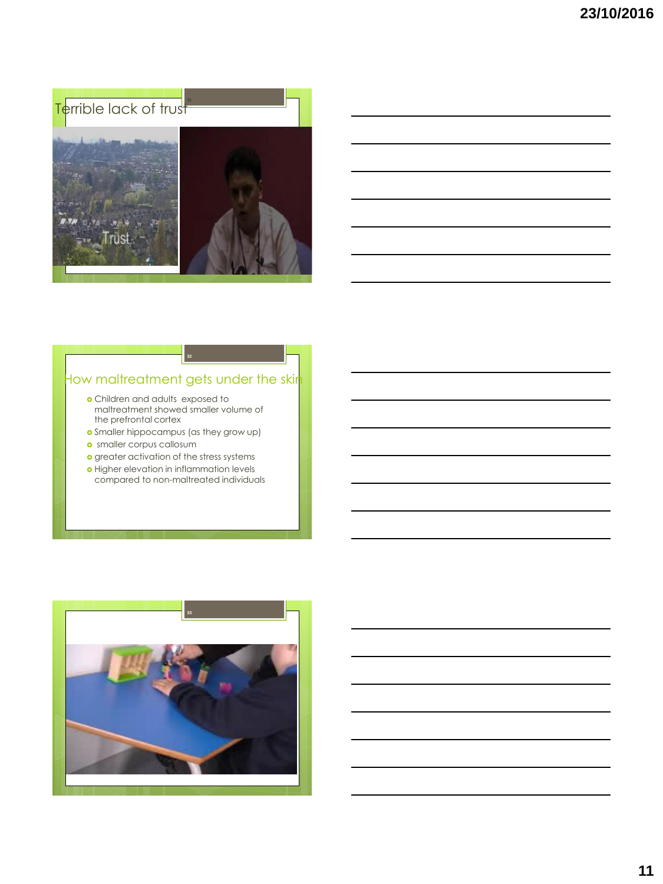



# How maltreatment gets under the skir

- Children and adults exposed to maltreatment showed smaller volume of the prefrontal cortex
- Smaller hippocampus (as they grow up)
- smaller corpus callosum
- o greater activation of the stress systems
- o Higher elevation in inflammation levels compared to non-maltreated individuals

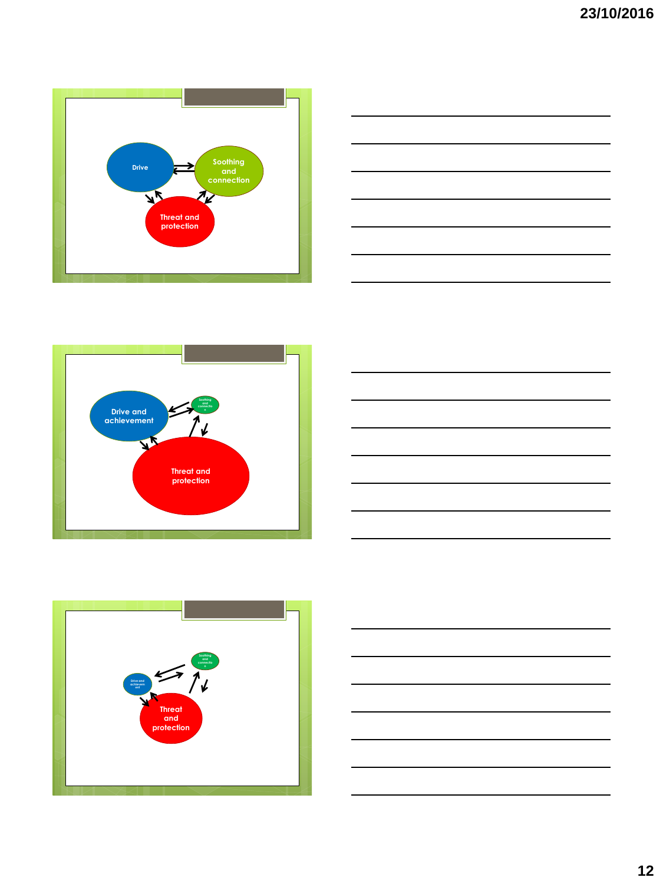









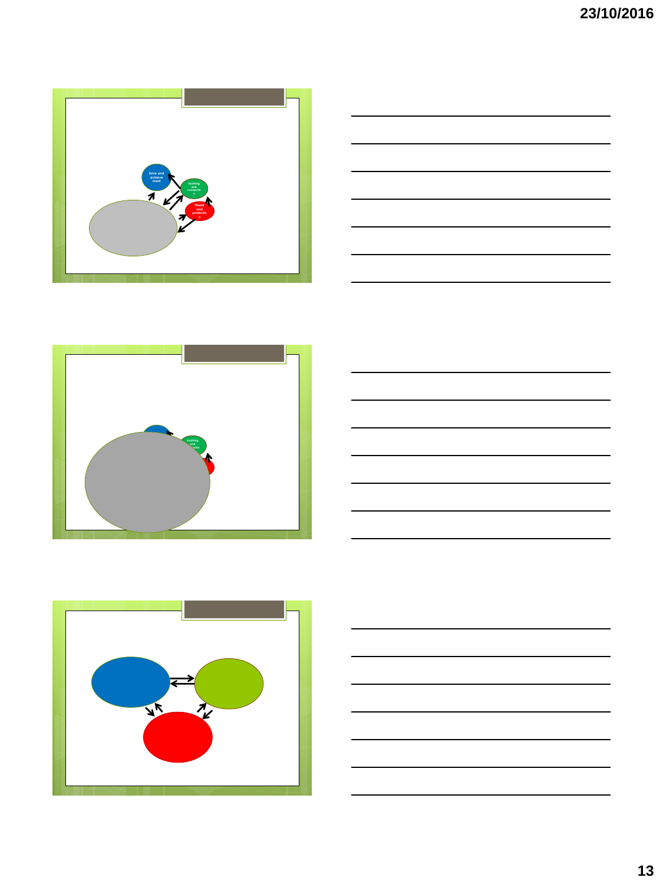